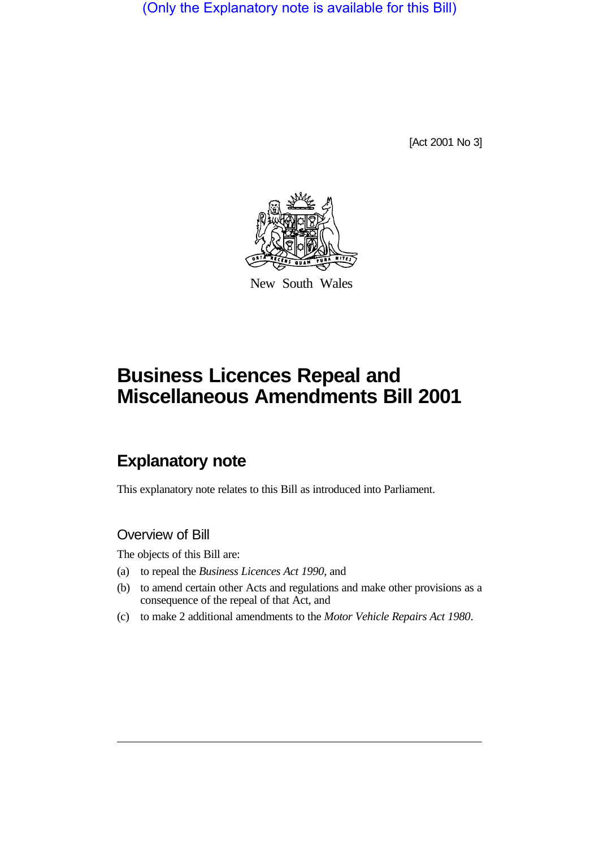(Only the Explanatory note is available for this Bill)

[Act 2001 No 3]



New South Wales

# **Business Licences Repeal and Miscellaneous Amendments Bill 2001**

## **Explanatory note**

This explanatory note relates to this Bill as introduced into Parliament.

## Overview of Bill

The objects of this Bill are:

- (a) to repeal the *Business Licences Act 1990*, and
- (b) to amend certain other Acts and regulations and make other provisions as a consequence of the repeal of that Act, and
- (c) to make 2 additional amendments to the *Motor Vehicle Repairs Act 1980*.